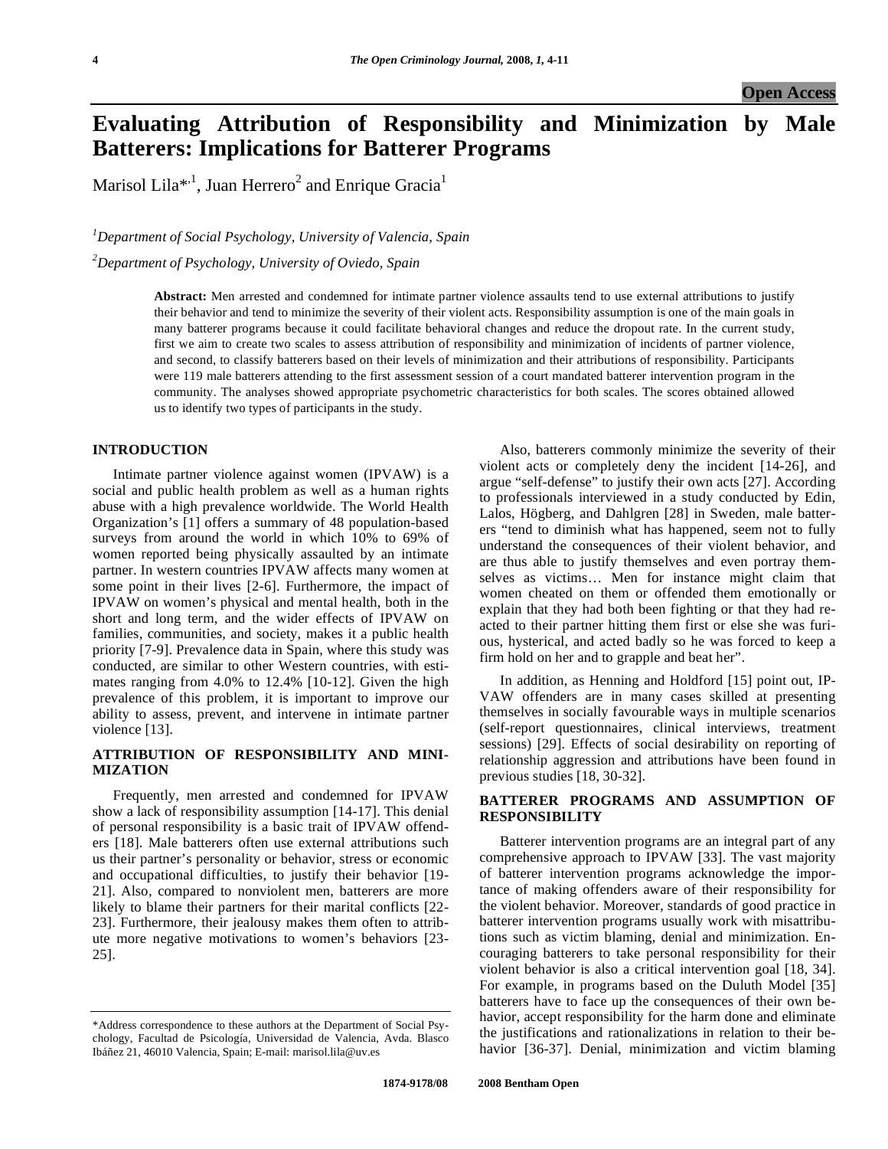# **Evaluating Attribution of Responsibility and Minimization by Male Batterers: Implications for Batterer Programs**

Marisol Lila\*,<sup>1</sup>, Juan Herrero<sup>2</sup> and Enrique Gracia<sup>1</sup>

# *1 Department of Social Psychology, University of Valencia, Spain*

*2 Department of Psychology, University of Oviedo, Spain* 

**Abstract:** Men arrested and condemned for intimate partner violence assaults tend to use external attributions to justify their behavior and tend to minimize the severity of their violent acts. Responsibility assumption is one of the main goals in many batterer programs because it could facilitate behavioral changes and reduce the dropout rate. In the current study, first we aim to create two scales to assess attribution of responsibility and minimization of incidents of partner violence, and second, to classify batterers based on their levels of minimization and their attributions of responsibility. Participants were 119 male batterers attending to the first assessment session of a court mandated batterer intervention program in the community. The analyses showed appropriate psychometric characteristics for both scales. The scores obtained allowed us to identify two types of participants in the study.

# **INTRODUCTION**

 Intimate partner violence against women (IPVAW) is a social and public health problem as well as a human rights abuse with a high prevalence worldwide. The World Health Organization's [1] offers a summary of 48 population-based surveys from around the world in which 10% to 69% of women reported being physically assaulted by an intimate partner. In western countries IPVAW affects many women at some point in their lives [2-6]. Furthermore, the impact of IPVAW on women's physical and mental health, both in the short and long term, and the wider effects of IPVAW on families, communities, and society, makes it a public health priority [7-9]. Prevalence data in Spain, where this study was conducted, are similar to other Western countries, with estimates ranging from 4.0% to 12.4% [10-12]. Given the high prevalence of this problem, it is important to improve our ability to assess, prevent, and intervene in intimate partner violence [13].

# **ATTRIBUTION OF RESPONSIBILITY AND MINI-MIZATION**

 Frequently, men arrested and condemned for IPVAW show a lack of responsibility assumption [14-17]. This denial of personal responsibility is a basic trait of IPVAW offenders [18]. Male batterers often use external attributions such us their partner's personality or behavior, stress or economic and occupational difficulties, to justify their behavior [19- 21]. Also, compared to nonviolent men, batterers are more likely to blame their partners for their marital conflicts [22--23]. Furthermore, their jealousy makes them often to attribute more negative motivations to women's behaviors [23- 25].

 Also, batterers commonly minimize the severity of their violent acts or completely deny the incident [14-26], and argue "self-defense" to justify their own acts [27]. According to professionals interviewed in a study conducted by Edin, Lalos, Högberg, and Dahlgren [28] in Sweden, male batterers "tend to diminish what has happened, seem not to fully understand the consequences of their violent behavior, and are thus able to justify themselves and even portray themselves as victims… Men for instance might claim that women cheated on them or offended them emotionally or explain that they had both been fighting or that they had reacted to their partner hitting them first or else she was furious, hysterical, and acted badly so he was forced to keep a firm hold on her and to grapple and beat her".

 In addition, as Henning and Holdford [15] point out, IP-VAW offenders are in many cases skilled at presenting themselves in socially favourable ways in multiple scenarios (self-report questionnaires, clinical interviews, treatment sessions) [29]. Effects of social desirability on reporting of relationship aggression and attributions have been found in previous studies [18, 30-32].

# **BATTERER PROGRAMS AND ASSUMPTION OF RESPONSIBILITY**

 Batterer intervention programs are an integral part of any comprehensive approach to IPVAW [33]. The vast majority of batterer intervention programs acknowledge the importance of making offenders aware of their responsibility for the violent behavior. Moreover, standards of good practice in batterer intervention programs usually work with misattributions such as victim blaming, denial and minimization. Encouraging batterers to take personal responsibility for their violent behavior is also a critical intervention goal [18, 34]. For example, in programs based on the Duluth Model [35] batterers have to face up the consequences of their own behavior, accept responsibility for the harm done and eliminate the justifications and rationalizations in relation to their behavior [36-37]. Denial, minimization and victim blaming

<sup>\*</sup>Address correspondence to these authors at the Department of Social Psychology, Facultad de Psicología, Universidad de Valencia, Avda. Blasco Ibáñez 21, 46010 Valencia, Spain; E-mail: marisol.lila@uv.es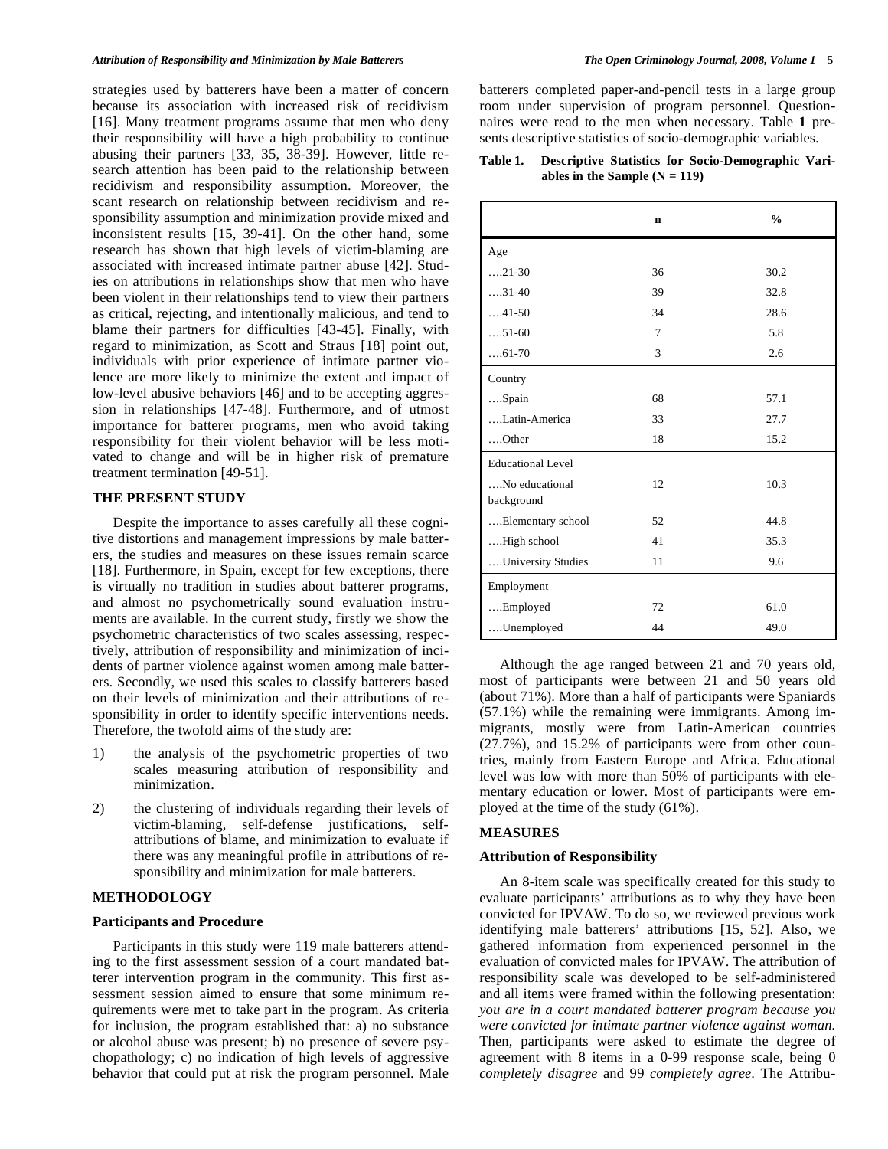strategies used by batterers have been a matter of concern because its association with increased risk of recidivism [16]. Many treatment programs assume that men who deny their responsibility will have a high probability to continue abusing their partners [33, 35, 38-39]. However, little research attention has been paid to the relationship between recidivism and responsibility assumption. Moreover, the scant research on relationship between recidivism and responsibility assumption and minimization provide mixed and inconsistent results [15, 39-41]. On the other hand, some research has shown that high levels of victim-blaming are associated with increased intimate partner abuse [42]. Studies on attributions in relationships show that men who have been violent in their relationships tend to view their partners as critical, rejecting, and intentionally malicious, and tend to blame their partners for difficulties [43-45]. Finally, with regard to minimization, as Scott and Straus [18] point out, individuals with prior experience of intimate partner violence are more likely to minimize the extent and impact of low-level abusive behaviors [46] and to be accepting aggression in relationships [47-48]. Furthermore, and of utmost importance for batterer programs, men who avoid taking responsibility for their violent behavior will be less motivated to change and will be in higher risk of premature treatment termination [49-51].

### **THE PRESENT STUDY**

 Despite the importance to asses carefully all these cognitive distortions and management impressions by male batterers, the studies and measures on these issues remain scarce [18]. Furthermore, in Spain, except for few exceptions, there is virtually no tradition in studies about batterer programs, and almost no psychometrically sound evaluation instruments are available. In the current study, firstly we show the psychometric characteristics of two scales assessing, respectively, attribution of responsibility and minimization of incidents of partner violence against women among male batterers. Secondly, we used this scales to classify batterers based on their levels of minimization and their attributions of responsibility in order to identify specific interventions needs. Therefore, the twofold aims of the study are:

- 1) the analysis of the psychometric properties of two scales measuring attribution of responsibility and minimization.
- 2) the clustering of individuals regarding their levels of victim-blaming, self-defense justifications, selfattributions of blame, and minimization to evaluate if there was any meaningful profile in attributions of responsibility and minimization for male batterers.

# **METHODOLOGY**

### **Participants and Procedure**

 Participants in this study were 119 male batterers attending to the first assessment session of a court mandated batterer intervention program in the community. This first assessment session aimed to ensure that some minimum requirements were met to take part in the program. As criteria for inclusion, the program established that: a) no substance or alcohol abuse was present; b) no presence of severe psychopathology; c) no indication of high levels of aggressive behavior that could put at risk the program personnel. Male

batterers completed paper-and-pencil tests in a large group room under supervision of program personnel. Questionnaires were read to the men when necessary. Table **1** presents descriptive statistics of socio-demographic variables.

**Table 1. Descriptive Statistics for Socio-Demographic Vari**ables in the Sample  $(N = 119)$ 

|                              | $\mathbf n$ | $\frac{0}{0}$ |
|------------------------------|-------------|---------------|
| Age                          |             |               |
| $\dots$ 21-30                | 36          | 30.2          |
| $31-40$                      | 39          | 32.8          |
| $\dots$ 41-50                | 34          | 28.6          |
| $\dots$ 51-60                | $\tau$      | 5.8           |
| $\dots 61-70$                | 3           | 2.6           |
| Country                      |             |               |
| Spain                        | 68          | 57.1          |
| Latin-America                | 33          | 27.7          |
| $$ Other                     | 18          | 15.2          |
| <b>Educational Level</b>     |             |               |
| No educational<br>background | 12          | 10.3          |
| Elementary school            | 52          | 44.8          |
| High school                  | 41          | 35.3          |
| University Studies           | 11          | 9.6           |
| Employment                   |             |               |
| Employed                     | 72          | 61.0          |
| Unemployed                   | 44          | 49.0          |

 Although the age ranged between 21 and 70 years old, most of participants were between 21 and 50 years old (about 71%). More than a half of participants were Spaniards (57.1%) while the remaining were immigrants. Among immigrants, mostly were from Latin-American countries (27.7%), and 15.2% of participants were from other countries, mainly from Eastern Europe and Africa. Educational level was low with more than 50% of participants with elementary education or lower. Most of participants were employed at the time of the study (61%).

### **MEASURES**

# **Attribution of Responsibility**

 An 8-item scale was specifically created for this study to evaluate participants' attributions as to why they have been convicted for IPVAW. To do so, we reviewed previous work identifying male batterers' attributions [15, 52]. Also, we gathered information from experienced personnel in the evaluation of convicted males for IPVAW. The attribution of responsibility scale was developed to be self-administered and all items were framed within the following presentation: *you are in a court mandated batterer program because you were convicted for intimate partner violence against woman.* Then, participants were asked to estimate the degree of agreement with 8 items in a 0-99 response scale, being 0 *completely disagree* and 99 *completely agree*. The Attribu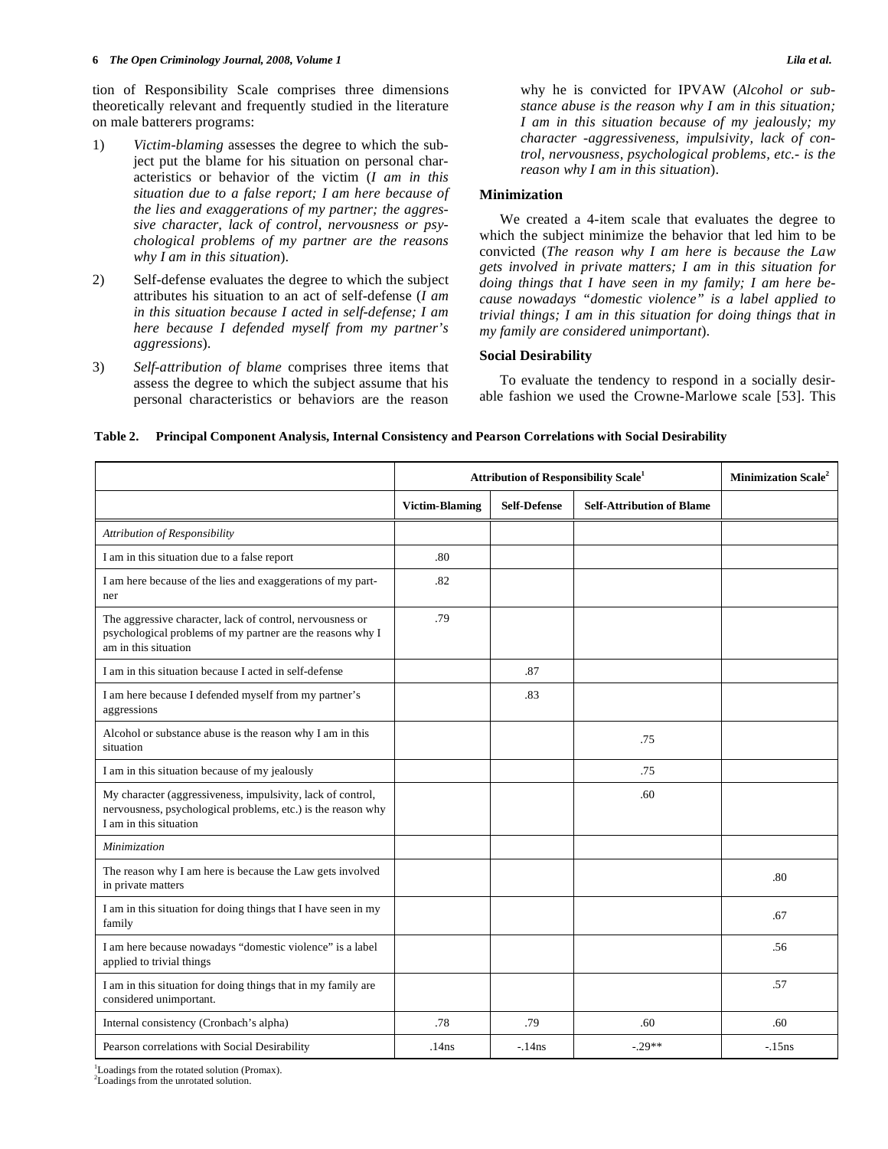tion of Responsibility Scale comprises three dimensions theoretically relevant and frequently studied in the literature on male batterers programs:

- 1) *Victim-blaming* assesses the degree to which the subject put the blame for his situation on personal characteristics or behavior of the victim (*I am in this situation due to a false report; I am here because of the lies and exaggerations of my partner; the aggressive character, lack of control, nervousness or psychological problems of my partner are the reasons why I am in this situation*).
- 2) Self-defense evaluates the degree to which the subject attributes his situation to an act of self-defense (*I am in this situation because I acted in self-defense; I am here because I defended myself from my partner's aggressions*).
- 3) *Self-attribution of blame* comprises three items that assess the degree to which the subject assume that his personal characteristics or behaviors are the reason

why he is convicted for IPVAW (*Alcohol or substance abuse is the reason why I am in this situation; I am in this situation because of my jealously; my character -aggressiveness, impulsivity, lack of control, nervousness, psychological problems, etc.- is the reason why I am in this situation*).

# **Minimization**

 We created a 4-item scale that evaluates the degree to which the subject minimize the behavior that led him to be convicted (*The reason why I am here is because the Law gets involved in private matters; I am in this situation for doing things that I have seen in my family; I am here because nowadays "domestic violence" is a label applied to trivial things; I am in this situation for doing things that in my family are considered unimportant*).

# **Social Desirability**

 To evaluate the tendency to respond in a socially desirable fashion we used the Crowne-Marlowe scale [53]. This

# **Table 2. Principal Component Analysis, Internal Consistency and Pearson Correlations with Social Desirability**

|                                                                                                                                                       | <b>Attribution of Responsibility Scale<sup>1</sup></b> |                     |                                  | <b>Minimization Scale<sup>2</sup></b> |
|-------------------------------------------------------------------------------------------------------------------------------------------------------|--------------------------------------------------------|---------------------|----------------------------------|---------------------------------------|
|                                                                                                                                                       | <b>Victim-Blaming</b>                                  | <b>Self-Defense</b> | <b>Self-Attribution of Blame</b> |                                       |
| Attribution of Responsibility                                                                                                                         |                                                        |                     |                                  |                                       |
| I am in this situation due to a false report                                                                                                          | .80                                                    |                     |                                  |                                       |
| I am here because of the lies and exaggerations of my part-<br>ner                                                                                    | .82                                                    |                     |                                  |                                       |
| The aggressive character, lack of control, nervousness or<br>psychological problems of my partner are the reasons why I<br>am in this situation       | .79                                                    |                     |                                  |                                       |
| I am in this situation because I acted in self-defense                                                                                                |                                                        | .87                 |                                  |                                       |
| I am here because I defended myself from my partner's<br>aggressions                                                                                  |                                                        | .83                 |                                  |                                       |
| Alcohol or substance abuse is the reason why I am in this<br>situation                                                                                |                                                        |                     | .75                              |                                       |
| I am in this situation because of my jealously                                                                                                        |                                                        |                     | .75                              |                                       |
| My character (aggressiveness, impulsivity, lack of control,<br>nervousness, psychological problems, etc.) is the reason why<br>I am in this situation |                                                        |                     | .60                              |                                       |
| <i>Minimization</i>                                                                                                                                   |                                                        |                     |                                  |                                       |
| The reason why I am here is because the Law gets involved<br>in private matters                                                                       |                                                        |                     |                                  | .80                                   |
| I am in this situation for doing things that I have seen in my<br>family                                                                              |                                                        |                     |                                  | .67                                   |
| I am here because nowadays "domestic violence" is a label<br>applied to trivial things                                                                |                                                        |                     |                                  | .56                                   |
| I am in this situation for doing things that in my family are<br>considered unimportant.                                                              |                                                        |                     |                                  | .57                                   |
| Internal consistency (Cronbach's alpha)                                                                                                               | .78                                                    | .79                 | .60                              | .60                                   |
| Pearson correlations with Social Desirability                                                                                                         | .14ns                                                  | $-.14ns$            | $-29**$                          | $-15ns$                               |

<sup>1</sup>Loadings from the rotated solution (Promax).

<sup>2</sup>Loadings from the unrotated solution.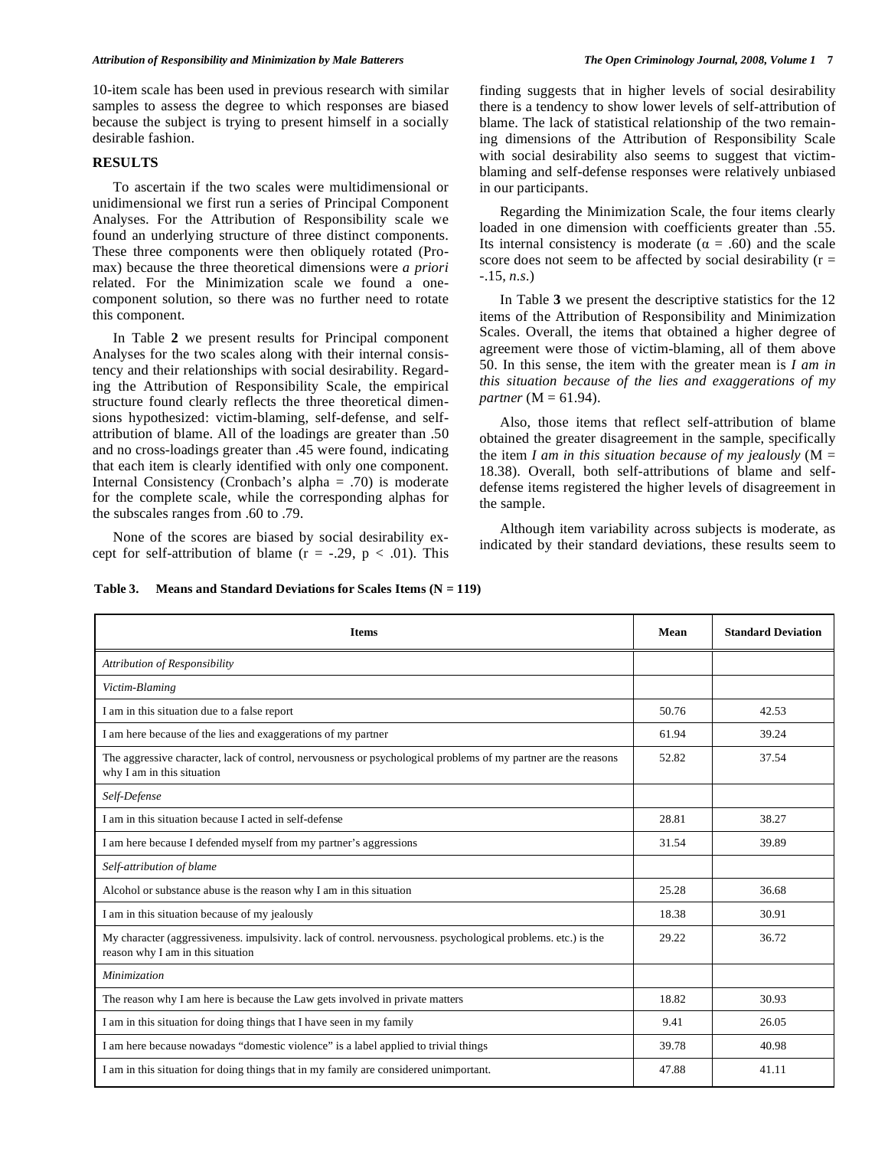10-item scale has been used in previous research with similar samples to assess the degree to which responses are biased because the subject is trying to present himself in a socially desirable fashion.

# **RESULTS**

 To ascertain if the two scales were multidimensional or unidimensional we first run a series of Principal Component Analyses. For the Attribution of Responsibility scale we found an underlying structure of three distinct components. These three components were then obliquely rotated (Promax) because the three theoretical dimensions were *a priori* related. For the Minimization scale we found a onecomponent solution, so there was no further need to rotate this component.

 In Table **2** we present results for Principal component Analyses for the two scales along with their internal consistency and their relationships with social desirability. Regarding the Attribution of Responsibility Scale, the empirical structure found clearly reflects the three theoretical dimensions hypothesized: victim-blaming, self-defense, and selfattribution of blame. All of the loadings are greater than .50 and no cross-loadings greater than .45 were found, indicating that each item is clearly identified with only one component. Internal Consistency (Cronbach's alpha = .70) is moderate for the complete scale, while the corresponding alphas for the subscales ranges from .60 to .79.

 None of the scores are biased by social desirability except for self-attribution of blame ( $r = -.29$ ,  $p < .01$ ). This finding suggests that in higher levels of social desirability there is a tendency to show lower levels of self-attribution of blame. The lack of statistical relationship of the two remaining dimensions of the Attribution of Responsibility Scale with social desirability also seems to suggest that victimblaming and self-defense responses were relatively unbiased in our participants.

 Regarding the Minimization Scale, the four items clearly loaded in one dimension with coefficients greater than .55. Its internal consistency is moderate ( $\alpha = .60$ ) and the scale score does not seem to be affected by social desirability  $(r =$ -.15, *n.s.*)

 In Table **3** we present the descriptive statistics for the 12 items of the Attribution of Responsibility and Minimization Scales. Overall, the items that obtained a higher degree of agreement were those of victim-blaming, all of them above 50. In this sense, the item with the greater mean is *I am in this situation because of the lies and exaggerations of my partner* (M = 61.94).

 Also, those items that reflect self-attribution of blame obtained the greater disagreement in the sample, specifically the item *I am in this situation because of my jealously* (M = 18.38). Overall, both self-attributions of blame and selfdefense items registered the higher levels of disagreement in the sample.

 Although item variability across subjects is moderate, as indicated by their standard deviations, these results seem to

| <b>Items</b>                                                                                                                                       | Mean  | <b>Standard Deviation</b> |
|----------------------------------------------------------------------------------------------------------------------------------------------------|-------|---------------------------|
| Attribution of Responsibility                                                                                                                      |       |                           |
| Victim-Blaming                                                                                                                                     |       |                           |
| I am in this situation due to a false report                                                                                                       | 50.76 | 42.53                     |
| I am here because of the lies and exaggerations of my partner                                                                                      | 61.94 | 39.24                     |
| The aggressive character, lack of control, nervousness or psychological problems of my partner are the reasons<br>why I am in this situation       |       | 37.54                     |
| Self-Defense                                                                                                                                       |       |                           |
| I am in this situation because I acted in self-defense                                                                                             | 28.81 | 38.27                     |
| I am here because I defended myself from my partner's aggressions                                                                                  | 31.54 | 39.89                     |
| Self-attribution of blame                                                                                                                          |       |                           |
| Alcohol or substance abuse is the reason why I am in this situation                                                                                | 25.28 | 36.68                     |
| I am in this situation because of my jealously                                                                                                     | 18.38 | 30.91                     |
| My character (aggressiveness. impulsivity. lack of control. nervousness. psychological problems. etc.) is the<br>reason why I am in this situation | 29.22 | 36.72                     |
| <i>Minimization</i>                                                                                                                                |       |                           |
| The reason why I am here is because the Law gets involved in private matters                                                                       |       | 30.93                     |
| I am in this situation for doing things that I have seen in my family                                                                              | 9.41  | 26.05                     |
| I am here because nowadays "domestic violence" is a label applied to trivial things                                                                | 39.78 | 40.98                     |
| I am in this situation for doing things that in my family are considered unimportant.                                                              |       | 41.11                     |

# **Table 3. Means and Standard Deviations for Scales Items (N = 119)**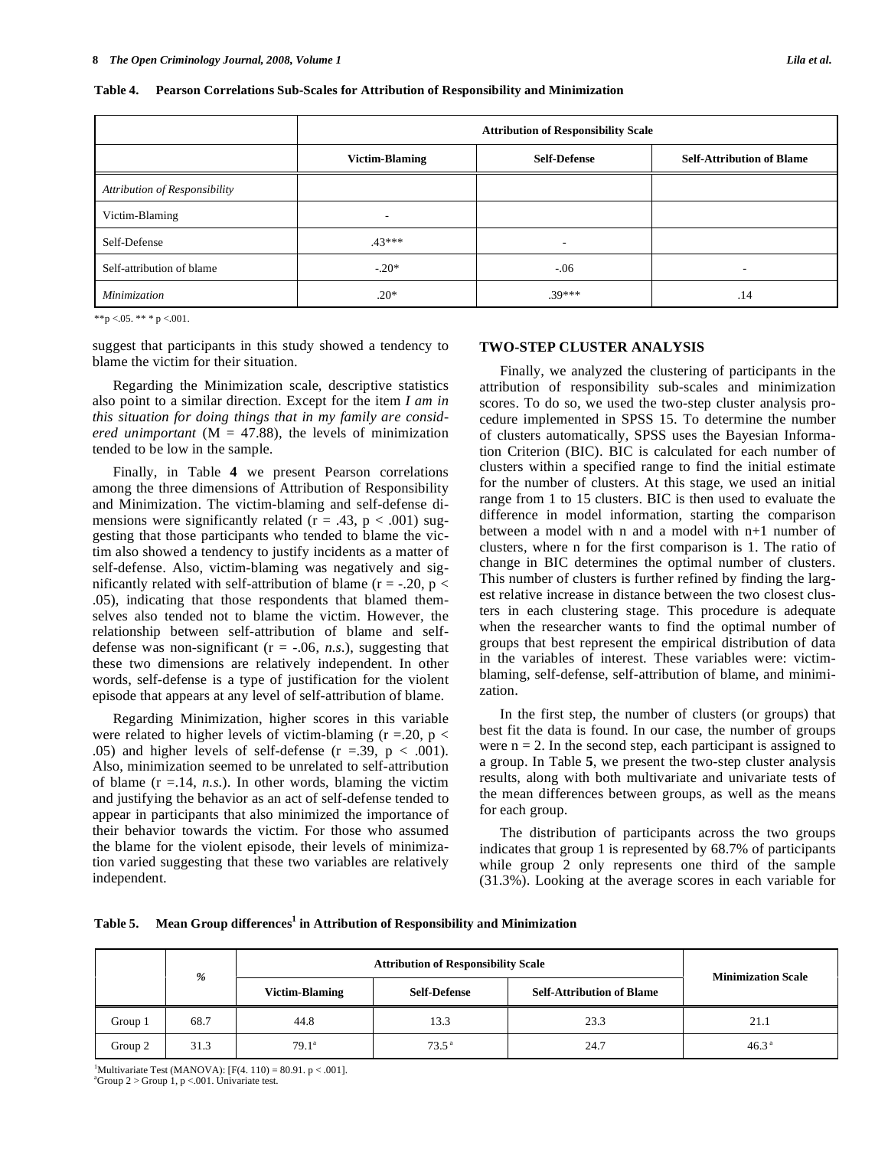|                               | <b>Attribution of Responsibility Scale</b> |                     |                                  |
|-------------------------------|--------------------------------------------|---------------------|----------------------------------|
|                               | <b>Victim-Blaming</b>                      | <b>Self-Defense</b> | <b>Self-Attribution of Blame</b> |
| Attribution of Responsibility |                                            |                     |                                  |
| Victim-Blaming                | -                                          |                     |                                  |
| Self-Defense                  | $43***$                                    | ۰                   |                                  |
| Self-attribution of blame     | $-.20*$                                    | $-.06$              | $\overline{\phantom{a}}$         |
| Minimization                  | $.20*$                                     | .39***              | .14                              |

**Table 4. Pearson Correlations Sub-Scales for Attribution of Responsibility and Minimization** 

\*\*p <.05. \*\* \* p <.001.

suggest that participants in this study showed a tendency to blame the victim for their situation.

 Regarding the Minimization scale, descriptive statistics also point to a similar direction. Except for the item *I am in this situation for doing things that in my family are considered unimportant* ( $M = 47.88$ ), the levels of minimization tended to be low in the sample.

 Finally, in Table **4** we present Pearson correlations among the three dimensions of Attribution of Responsibility and Minimization. The victim-blaming and self-defense dimensions were significantly related ( $r = .43$ ,  $p < .001$ ) suggesting that those participants who tended to blame the victim also showed a tendency to justify incidents as a matter of self-defense. Also, victim-blaming was negatively and significantly related with self-attribution of blame ( $r = -0.20$ ,  $p <$ .05), indicating that those respondents that blamed themselves also tended not to blame the victim. However, the relationship between self-attribution of blame and selfdefense was non-significant  $(r = -.06, n.s.)$ , suggesting that these two dimensions are relatively independent. In other words, self-defense is a type of justification for the violent episode that appears at any level of self-attribution of blame.

 Regarding Minimization, higher scores in this variable were related to higher levels of victim-blaming ( $r = 20$ ,  $p <$ .05) and higher levels of self-defense  $(r = .39, p < .001)$ . Also, minimization seemed to be unrelated to self-attribution of blame  $(r = .14, n.s.).$  In other words, blaming the victim and justifying the behavior as an act of self-defense tended to appear in participants that also minimized the importance of their behavior towards the victim. For those who assumed the blame for the violent episode, their levels of minimization varied suggesting that these two variables are relatively independent.

### **TWO-STEP CLUSTER ANALYSIS**

 Finally, we analyzed the clustering of participants in the attribution of responsibility sub-scales and minimization scores. To do so, we used the two-step cluster analysis procedure implemented in SPSS 15. To determine the number of clusters automatically, SPSS uses the Bayesian Information Criterion (BIC). BIC is calculated for each number of clusters within a specified range to find the initial estimate for the number of clusters. At this stage, we used an initial range from 1 to 15 clusters. BIC is then used to evaluate the difference in model information, starting the comparison between a model with n and a model with n+1 number of clusters, where n for the first comparison is 1. The ratio of change in BIC determines the optimal number of clusters. This number of clusters is further refined by finding the largest relative increase in distance between the two closest clusters in each clustering stage. This procedure is adequate when the researcher wants to find the optimal number of groups that best represent the empirical distribution of data in the variables of interest. These variables were: victimblaming, self-defense, self-attribution of blame, and minimization.

 In the first step, the number of clusters (or groups) that best fit the data is found. In our case, the number of groups were  $n = 2$ . In the second step, each participant is assigned to a group. In Table **5**, we present the two-step cluster analysis results, along with both multivariate and univariate tests of the mean differences between groups, as well as the means for each group.

 The distribution of participants across the two groups indicates that group 1 is represented by 68.7% of participants while group 2 only represents one third of the sample (31.3%). Looking at the average scores in each variable for

| Table 5. |  | Mean Group differences <sup>1</sup> in Attribution of Responsibility and Minimization |
|----------|--|---------------------------------------------------------------------------------------|
|          |  |                                                                                       |

| %       |      | <b>Attribution of Responsibility Scale</b> |                     |                                  | <b>Minimization Scale</b> |  |
|---------|------|--------------------------------------------|---------------------|----------------------------------|---------------------------|--|
|         |      | <b>Victim-Blaming</b>                      | <b>Self-Defense</b> | <b>Self-Attribution of Blame</b> |                           |  |
| Group 1 | 68.7 | 44.8                                       | 13.3                | 23.3                             | 21.1                      |  |
| Group 2 | 31.3 | $79.1^{\circ}$                             | $73.5^{\text{a}}$   | 24.7                             | 46.3 <sup>a</sup>         |  |

<sup>1</sup>Multivariate Test (MANOVA): [F(4. 110) = 80.91. p < .001]. <sup>a</sup>Group  $2 > G$ roup 1, p <.001. Univariate test.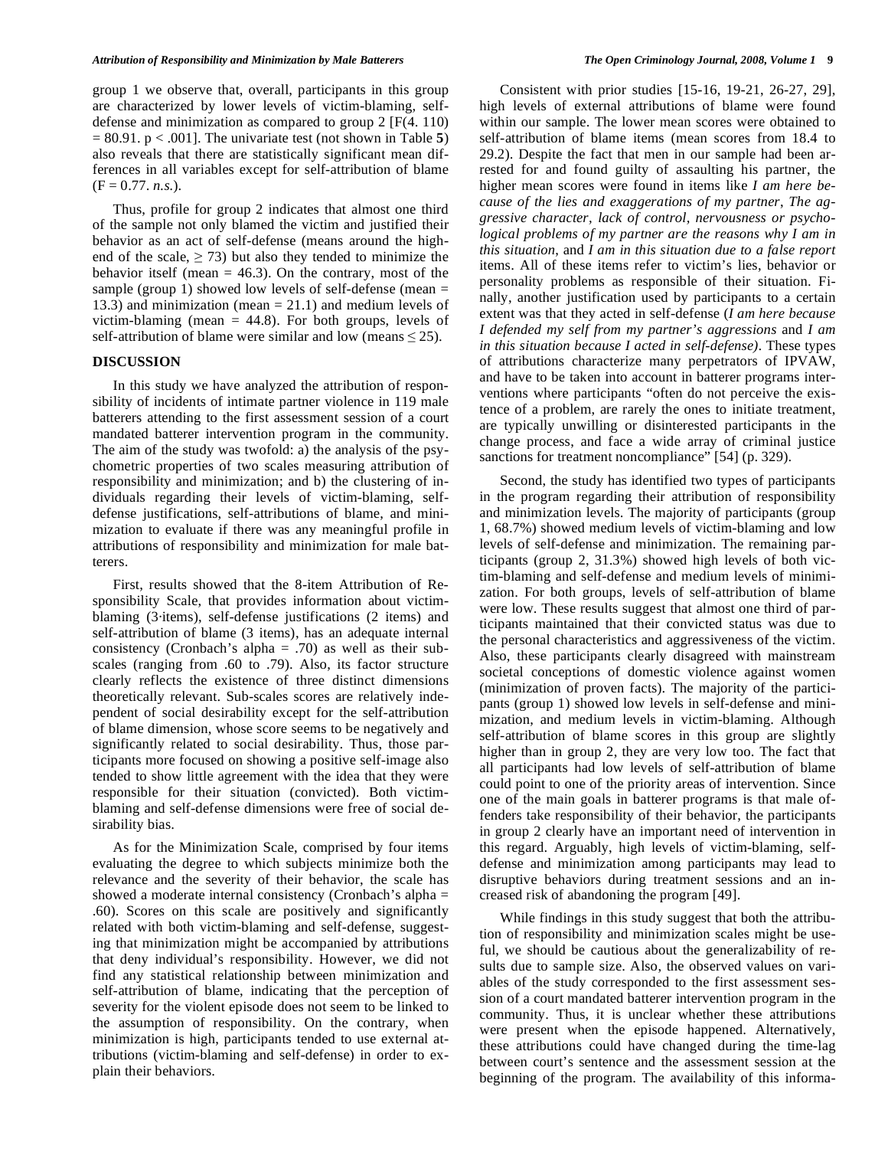group 1 we observe that, overall, participants in this group are characterized by lower levels of victim-blaming, selfdefense and minimization as compared to group 2 [F(4. 110)  $= 80.91$ . p < .001]. The univariate test (not shown in Table 5) also reveals that there are statistically significant mean differences in all variables except for self-attribution of blame  $(F = 0.77, n.s.).$ 

 Thus, profile for group 2 indicates that almost one third of the sample not only blamed the victim and justified their behavior as an act of self-defense (means around the highend of the scale,  $\geq$  73) but also they tended to minimize the behavior itself (mean  $= 46.3$ ). On the contrary, most of the sample (group 1) showed low levels of self-defense (mean  $=$ 13.3) and minimization (mean = 21.1) and medium levels of victim-blaming (mean  $= 44.8$ ). For both groups, levels of self-attribution of blame were similar and low (means  $\leq$  25).

# **DISCUSSION**

 In this study we have analyzed the attribution of responsibility of incidents of intimate partner violence in 119 male batterers attending to the first assessment session of a court mandated batterer intervention program in the community. The aim of the study was twofold: a) the analysis of the psychometric properties of two scales measuring attribution of responsibility and minimization; and b) the clustering of individuals regarding their levels of victim-blaming, selfdefense justifications, self-attributions of blame, and minimization to evaluate if there was any meaningful profile in attributions of responsibility and minimization for male batterers.

 First, results showed that the 8-item Attribution of Responsibility Scale, that provides information about victimblaming (3·items), self-defense justifications (2 items) and self-attribution of blame (3 items), has an adequate internal consistency (Cronbach's alpha = .70) as well as their subscales (ranging from .60 to .79). Also, its factor structure clearly reflects the existence of three distinct dimensions theoretically relevant. Sub-scales scores are relatively independent of social desirability except for the self-attribution of blame dimension, whose score seems to be negatively and significantly related to social desirability. Thus, those participants more focused on showing a positive self-image also tended to show little agreement with the idea that they were responsible for their situation (convicted). Both victimblaming and self-defense dimensions were free of social desirability bias.

 As for the Minimization Scale, comprised by four items evaluating the degree to which subjects minimize both the relevance and the severity of their behavior, the scale has showed a moderate internal consistency (Cronbach's alpha = .60). Scores on this scale are positively and significantly related with both victim-blaming and self-defense, suggesting that minimization might be accompanied by attributions that deny individual's responsibility. However, we did not find any statistical relationship between minimization and self-attribution of blame, indicating that the perception of severity for the violent episode does not seem to be linked to the assumption of responsibility. On the contrary, when minimization is high, participants tended to use external attributions (victim-blaming and self-defense) in order to explain their behaviors.

 Consistent with prior studies [15-16, 19-21, 26-27, 29], high levels of external attributions of blame were found within our sample. The lower mean scores were obtained to self-attribution of blame items (mean scores from 18.4 to 29.2). Despite the fact that men in our sample had been arrested for and found guilty of assaulting his partner, the higher mean scores were found in items like *I am here because of the lies and exaggerations of my partner*, *The aggressive character, lack of control, nervousness or psychological problems of my partner are the reasons why I am in this situation*, and *I am in this situation due to a false report* items. All of these items refer to victim's lies, behavior or personality problems as responsible of their situation. Finally, another justification used by participants to a certain extent was that they acted in self-defense (*I am here because I defended my self from my partner's aggressions* and *I am in this situation because I acted in self-defense).* These types of attributions characterize many perpetrators of IPVAW, and have to be taken into account in batterer programs interventions where participants "often do not perceive the existence of a problem, are rarely the ones to initiate treatment, are typically unwilling or disinterested participants in the change process, and face a wide array of criminal justice sanctions for treatment noncompliance" [54] (p. 329).

 Second, the study has identified two types of participants in the program regarding their attribution of responsibility and minimization levels. The majority of participants (group 1, 68.7%) showed medium levels of victim-blaming and low levels of self-defense and minimization. The remaining participants (group 2, 31.3%) showed high levels of both victim-blaming and self-defense and medium levels of minimization. For both groups, levels of self-attribution of blame were low. These results suggest that almost one third of participants maintained that their convicted status was due to the personal characteristics and aggressiveness of the victim. Also, these participants clearly disagreed with mainstream societal conceptions of domestic violence against women (minimization of proven facts). The majority of the participants (group 1) showed low levels in self-defense and minimization, and medium levels in victim-blaming. Although self-attribution of blame scores in this group are slightly higher than in group 2, they are very low too. The fact that all participants had low levels of self-attribution of blame could point to one of the priority areas of intervention. Since one of the main goals in batterer programs is that male offenders take responsibility of their behavior, the participants in group 2 clearly have an important need of intervention in this regard. Arguably, high levels of victim-blaming, selfdefense and minimization among participants may lead to disruptive behaviors during treatment sessions and an increased risk of abandoning the program [49].

 While findings in this study suggest that both the attribution of responsibility and minimization scales might be useful, we should be cautious about the generalizability of results due to sample size. Also, the observed values on variables of the study corresponded to the first assessment session of a court mandated batterer intervention program in the community. Thus, it is unclear whether these attributions were present when the episode happened. Alternatively, these attributions could have changed during the time-lag between court's sentence and the assessment session at the beginning of the program. The availability of this informa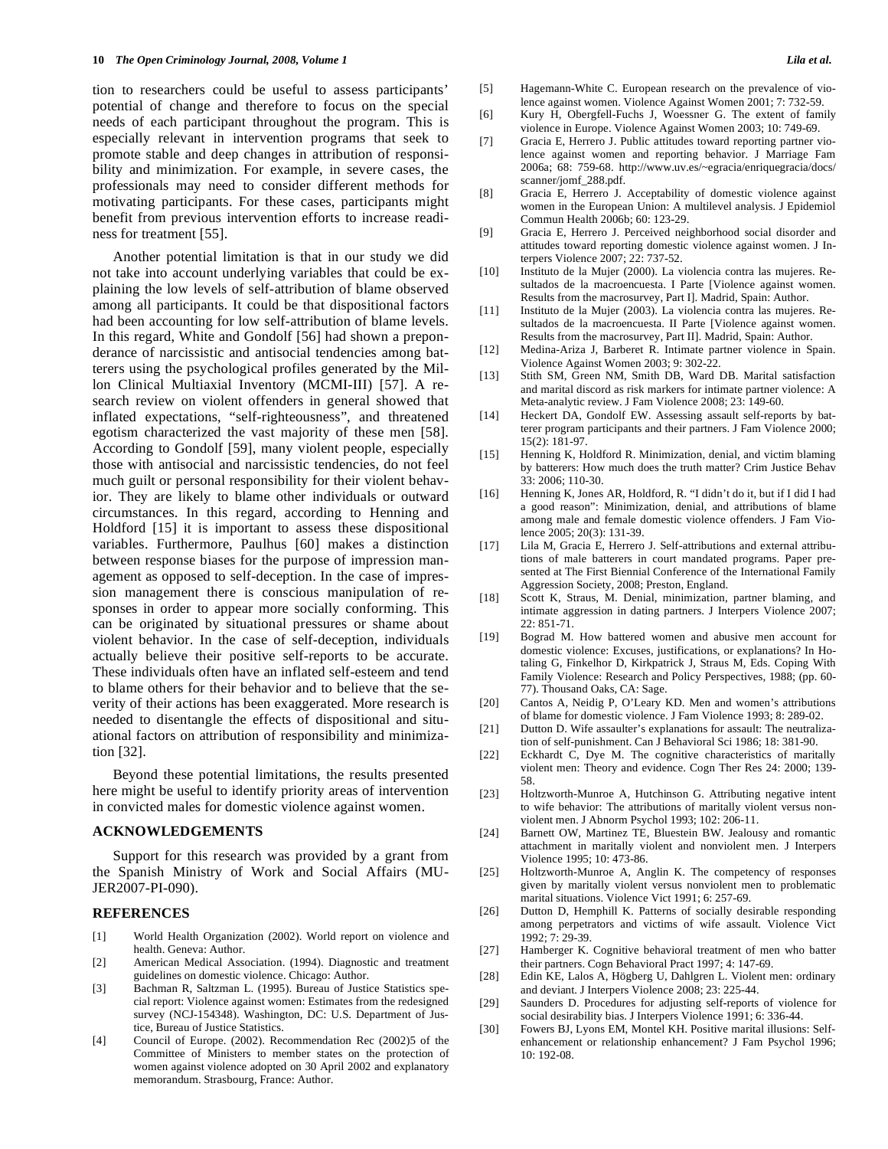tion to researchers could be useful to assess participants' potential of change and therefore to focus on the special needs of each participant throughout the program. This is especially relevant in intervention programs that seek to promote stable and deep changes in attribution of responsibility and minimization. For example, in severe cases, the professionals may need to consider different methods for motivating participants. For these cases, participants might benefit from previous intervention efforts to increase readiness for treatment [55].

 Another potential limitation is that in our study we did not take into account underlying variables that could be explaining the low levels of self-attribution of blame observed among all participants. It could be that dispositional factors had been accounting for low self-attribution of blame levels. In this regard, White and Gondolf [56] had shown a preponderance of narcissistic and antisocial tendencies among batterers using the psychological profiles generated by the Millon Clinical Multiaxial Inventory (MCMI-III) [57]. A research review on violent offenders in general showed that inflated expectations, "self-righteousness", and threatened egotism characterized the vast majority of these men [58]. According to Gondolf [59], many violent people, especially those with antisocial and narcissistic tendencies, do not feel much guilt or personal responsibility for their violent behavior. They are likely to blame other individuals or outward circumstances. In this regard, according to Henning and Holdford [15] it is important to assess these dispositional variables. Furthermore, Paulhus [60] makes a distinction between response biases for the purpose of impression management as opposed to self-deception. In the case of impression management there is conscious manipulation of responses in order to appear more socially conforming. This can be originated by situational pressures or shame about violent behavior. In the case of self-deception, individuals actually believe their positive self-reports to be accurate. These individuals often have an inflated self-esteem and tend to blame others for their behavior and to believe that the severity of their actions has been exaggerated. More research is needed to disentangle the effects of dispositional and situational factors on attribution of responsibility and minimization [32].

 Beyond these potential limitations, the results presented here might be useful to identify priority areas of intervention in convicted males for domestic violence against women.

#### **ACKNOWLEDGEMENTS**

 Support for this research was provided by a grant from the Spanish Ministry of Work and Social Affairs (MU-JER2007-PI-090).

#### **REFERENCES**

- [1] World Health Organization (2002). World report on violence and health. Geneva: Author.
- [2] American Medical Association. (1994). Diagnostic and treatment guidelines on domestic violence. Chicago: Author.
- [3] Bachman R, Saltzman L. (1995). Bureau of Justice Statistics special report: Violence against women: Estimates from the redesigned survey (NCJ-154348). Washington, DC: U.S. Department of Justice, Bureau of Justice Statistics.
- [4] Council of Europe. (2002). Recommendation Rec (2002)5 of the Committee of Ministers to member states on the protection of women against violence adopted on 30 April 2002 and explanatory memorandum. Strasbourg, France: Author.
- [5] Hagemann-White C. European research on the prevalence of violence against women. Violence Against Women 2001; 7: 732-59.
- [6] Kury H, Obergfell-Fuchs J, Woessner G. The extent of family violence in Europe. Violence Against Women 2003; 10: 749-69.
- [7] Gracia E, Herrero J. Public attitudes toward reporting partner violence against women and reporting behavior. J Marriage Fam 2006a; 68: 759-68. http://www.uv.es/~egracia/enriquegracia/docs/ scanner/jomf\_288.pdf.
- [8] Gracia E, Herrero J. Acceptability of domestic violence against women in the European Union: A multilevel analysis. J Epidemiol Commun Health 2006b; 60: 123-29.
- [9] Gracia E, Herrero J. Perceived neighborhood social disorder and attitudes toward reporting domestic violence against women. J Interpers Violence 2007; 22: 737-52.
- [10] Instituto de la Mujer (2000). La violencia contra las mujeres. Resultados de la macroencuesta. I Parte [Violence against women. Results from the macrosurvey, Part I]. Madrid, Spain: Author.
- [11] Instituto de la Mujer (2003). La violencia contra las mujeres. Resultados de la macroencuesta. II Parte [Violence against women. Results from the macrosurvey, Part II]. Madrid, Spain: Author.
- [12] Medina-Ariza J, Barberet R. Intimate partner violence in Spain. Violence Against Women 2003; 9: 302-22.
- [13] Stith SM, Green NM, Smith DB, Ward DB. Marital satisfaction and marital discord as risk markers for intimate partner violence: A Meta-analytic review. J Fam Violence 2008; 23: 149-60.
- [14] Heckert DA, Gondolf EW. Assessing assault self-reports by batterer program participants and their partners. J Fam Violence 2000; 15(2): 181-97.
- [15] Henning K, Holdford R. Minimization, denial, and victim blaming by batterers: How much does the truth matter? Crim Justice Behav 33: 2006; 110-30.
- [16] Henning K, Jones AR, Holdford, R. "I didn't do it, but if I did I had a good reason": Minimization, denial, and attributions of blame among male and female domestic violence offenders. J Fam Violence 2005; 20(3): 131-39.
- [17] Lila M, Gracia E, Herrero J. Self-attributions and external attributions of male batterers in court mandated programs. Paper presented at The First Biennial Conference of the International Family Aggression Society, 2008; Preston, England.
- [18] Scott K, Straus, M. Denial, minimization, partner blaming, and intimate aggression in dating partners. J Interpers Violence 2007; 22: 851-71.
- [19] Bograd M. How battered women and abusive men account for domestic violence: Excuses, justifications, or explanations? In Hotaling G, Finkelhor D, Kirkpatrick J, Straus M, Eds. Coping With Family Violence: Research and Policy Perspectives, 1988; (pp. 60- 77). Thousand Oaks, CA: Sage.
- [20] Cantos A, Neidig P, O'Leary KD. Men and women's attributions of blame for domestic violence. J Fam Violence 1993; 8: 289-02.
- [21] Dutton D. Wife assaulter's explanations for assault: The neutralization of self-punishment. Can J Behavioral Sci 1986; 18: 381-90.
- [22] Eckhardt C, Dye M. The cognitive characteristics of maritally violent men: Theory and evidence. Cogn Ther Res 24: 2000; 139- 58.
- [23] Holtzworth-Munroe A, Hutchinson G. Attributing negative intent to wife behavior: The attributions of maritally violent versus nonviolent men. J Abnorm Psychol 1993; 102: 206-11.
- [24] Barnett OW, Martinez TE, Bluestein BW. Jealousy and romantic attachment in maritally violent and nonviolent men. J Interpers Violence 1995; 10: 473-86.
- [25] Holtzworth-Munroe A, Anglin K. The competency of responses given by maritally violent versus nonviolent men to problematic marital situations. Violence Vict 1991; 6: 257-69.
- [26] Dutton D, Hemphill K. Patterns of socially desirable responding among perpetrators and victims of wife assault. Violence Vict 1992; 7: 29-39.
- [27] Hamberger K. Cognitive behavioral treatment of men who batter their partners. Cogn Behavioral Pract 1997; 4: 147-69.
- [28] Edin KE, Lalos A, Högberg U, Dahlgren L. Violent men: ordinary and deviant. J Interpers Violence 2008; 23: 225-44.
- [29] Saunders D. Procedures for adjusting self-reports of violence for social desirability bias. J Interpers Violence 1991; 6: 336-44.
- [30] Fowers BJ, Lyons EM, Montel KH. Positive marital illusions: Selfenhancement or relationship enhancement? J Fam Psychol 1996; 10: 192-08.